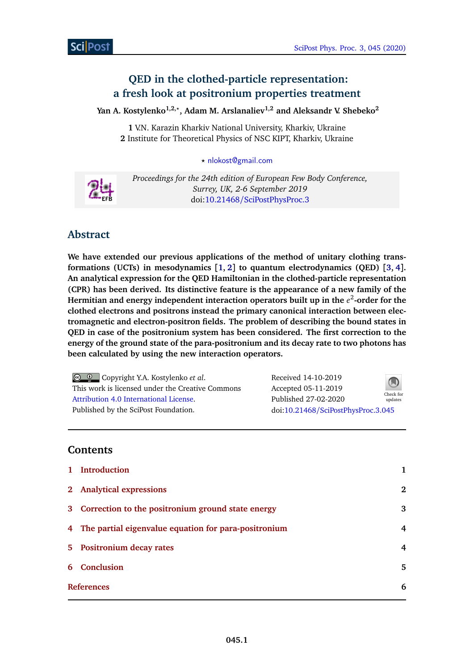# **QED in the clothed-particle representation: a fresh look at positronium properties treatment**

**Yan A. Kostylenko1,2,***?* **, Adam M. Arslanaliev1,2 and Aleksandr V. Shebeko<sup>2</sup>**

**1** V.N. Karazin Kharkiv National University, Kharkiv, Ukraine **2** Institute for Theoretical Physics of NSC KIPT, Kharkiv, Ukraine

*?* [nlokost@gmail.com](mailto:nlokost@gmail.com)



*Proceedings for the 24th edition of European Few Body Conference, Surrey, UK, 2-6 September 2019* doi:10.21468/[SciPostPhysProc.3](http://dx.doi.org/10.21468/SciPostPhysProc.3)

# **Abstract**

**We have extended our previous applications of the method of unitary clothing transformations (UCTs) in mesodynamics [[1,](#page-5-0) [2](#page-5-1)] to quantum electrodynamics (QED) [[3,](#page-5-2) [4](#page-5-3)]. An analytical expression for the QED Hamiltonian in the clothed-particle representation (CPR) has been derived. Its distinctive feature is the appearance of a new family of the Hermitian and energy independent interaction operators built up in the** *e* 2 **-order for the clothed electrons and positrons instead the primary canonical interaction between electromagnetic and electron-positron fields. The problem of describing the bound states in QED in case of the positronium system has been considered. The first correction to the energy of the ground state of the para-positronium and its decay rate to two photons has been calculated by using the new interaction operators.**

Copyright Y.A. Kostylenko *et al*. This work is licensed under the Creative Commons [Attribution 4.0 International License.](http://creativecommons.org/licenses/by/4.0/) Published by the SciPost Foundation.

Received 14-10-2019 Accepted 05-11-2019 Published 27-02-2020 doi:10.21468/[SciPostPhysProc.3.045](http://dx.doi.org/10.21468/SciPostPhysProc.3.045)



## **Contents**

|   | 1 Introduction                                         | 1        |
|---|--------------------------------------------------------|----------|
|   | 2 Analytical expressions                               | $\bf{2}$ |
|   | 3 Correction to the positronium ground state energy    | 3        |
|   | 4 The partial eigenvalue equation for para-positronium | 4        |
|   | 5 Positronium decay rates                              | 4        |
| 6 | Conclusion                                             | 5        |
|   | <b>References</b>                                      |          |
|   |                                                        |          |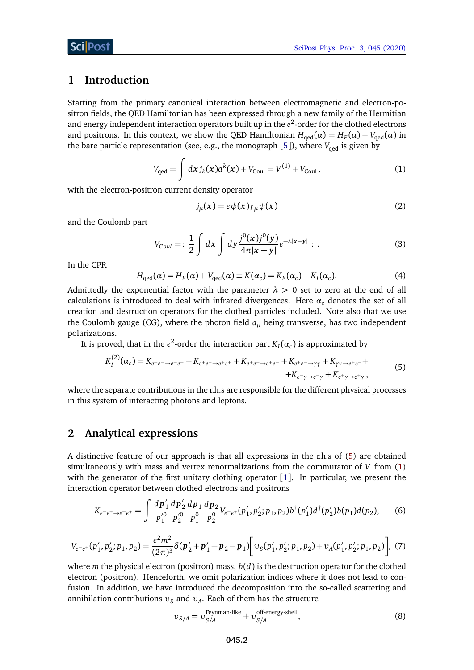## <span id="page-1-0"></span>**1 Introduction**

Starting from the primary canonical interaction between electromagnetic and electron-positron fields, the QED Hamiltonian has been expressed through a new family of the Hermitian and energy independent interaction operators built up in the  $e^2$ -order for the clothed electrons and positrons. In this context, we show the QED Hamiltonian  $H_{\text{qed}}(\alpha) = H_F(\alpha) + V_{\text{qed}}(\alpha)$  in the bare particle representation (see, e.g., the monograph [[5](#page-5-5)]), where  $V_{\text{oed}}$  is given by

$$
V_{\text{qed}} = \int dx j_k(x) a^k(x) + V_{\text{Coul}} = V^{(1)} + V_{\text{Coul}},
$$
\n(1)

with the electron-positron current density operator

<span id="page-1-3"></span><span id="page-1-2"></span>
$$
j_{\mu}(x) = e\bar{\psi}(x)\gamma_{\mu}\psi(x)
$$
 (2)

and the Coulomb part

$$
V_{Coul} =: \frac{1}{2} \int dx \int dy \frac{j^{0}(x)j^{0}(y)}{4\pi|x-y|} e^{-\lambda|x-y|}.
$$
 (3)

In the CPR

$$
H_{\text{qed}}(\alpha) = H_F(\alpha) + V_{\text{qed}}(\alpha) \equiv K(\alpha_c) = K_F(\alpha_c) + K_I(\alpha_c). \tag{4}
$$

Admittedly the exponential factor with the parameter  $\lambda > 0$  set to zero at the end of all calculations is introduced to deal with infrared divergences. Here  $\alpha_c$  denotes the set of all creation and destruction operators for the clothed particles included. Note also that we use the Coulomb gauge (CG), where the photon field *a<sup>µ</sup>* being transverse, has two independent polarizations.

It is proved, that in the  $e^2$ -order the interaction part  $K_I(\alpha_c)$  is approximated by

$$
K_I^{(2)}(\alpha_c) = K_{e^-e^- \to e^-e^-} + K_{e^+e^+ \to e^+e^+} + K_{e^+e^- \to e^+e^-} + K_{e^+e^- \to \gamma\gamma} + K_{\gamma\gamma \to e^+e^-} + K_{e^+ \gamma \to e^+ \gamma},
$$
\n
$$
+ K_{e^- \gamma \to e^- \gamma} + K_{e^+ \gamma \to e^+ \gamma},
$$
\n(5)

where the separate contributions in the r.h.s are responsible for the different physical processes in this system of interacting photons and leptons.

### <span id="page-1-1"></span>**2 Analytical expressions**

A distinctive feature of our approach is that all expressions in the r.h.s of [\(5\)](#page-1-2) are obtained simultaneously with mass and vertex renormalizations from the commutator of *V* from [\(1\)](#page-1-3) with the generator of the first unitary clothing operator  $[1]$  $[1]$  $[1]$ . In particular, we present the interaction operator between clothed electrons and positrons

$$
K_{e^-e^+\to e^-e^+} = \int \frac{dp'_1}{p_1^{\prime 0}} \frac{dp'_2}{p_2^{\prime 0}} \frac{dp_1}{p_1^0} \frac{dp_2}{p_2^0} V_{e^-e^+}(p'_1, p'_2; p_1, p_2) b^{\dagger}(p'_1) d^{\dagger}(p'_2) b(p_1) d(p_2), \tag{6}
$$

$$
V_{e-e+}(p'_1, p'_2; p_1, p_2) = \frac{e^2 m^2}{(2\pi)^3} \delta(p'_2 + p'_1 - p_2 - p_1) \bigg[ \nu_S(p'_1, p'_2; p_1, p_2) + \nu_A(p'_1, p'_2; p_1, p_2) \bigg], \tag{7}
$$

where *m* the physical electron (positron) mass,  $b(d)$  is the destruction operator for the clothed electron (positron). Henceforth, we omit polarization indices where it does not lead to confusion. In addition, we have introduced the decomposition into the so-called scattering and annihilation contributions  $v_{\mathcal{S}}$  and  $v_{\mathcal{A}}$ . Each of them has the structure

<span id="page-1-5"></span><span id="page-1-4"></span>
$$
v_{S/A} = v_{S/A}^{\text{Feynman-like}} + v_{S/A}^{\text{off-energy-shell}}, \tag{8}
$$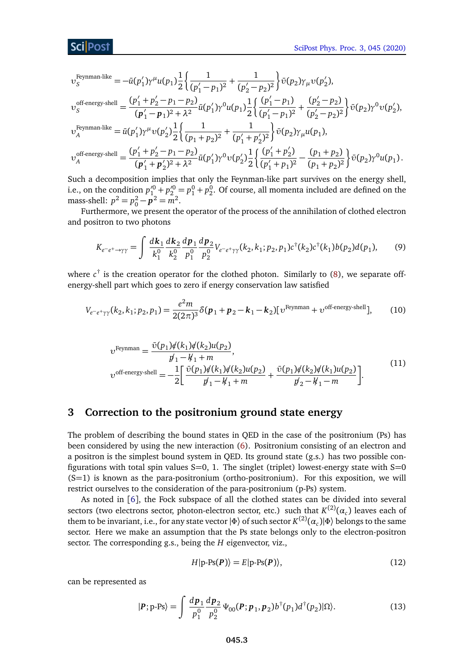$$
\upsilon_S^{\text{Feynman-like}} = -\bar{u}(p_1')\gamma^{\mu}u(p_1)\frac{1}{2}\left\{\frac{1}{(p_1'-p_1)^2} + \frac{1}{(p_2'-p_2)^2}\right\}\bar{\upsilon}(p_2)\gamma_{\mu}\upsilon(p_2'),
$$

$$
v_S^{\text{off-energy-shell}} = \frac{(p'_1 + p'_2 - p_1 - p_2)}{(p'_1 - p_1)^2 + \lambda^2} \bar{u}(p'_1) \gamma^0 u(p_1) \frac{1}{2} \left\{ \frac{(p'_1 - p_1)}{(p'_1 - p_1)^2} + \frac{(p'_2 - p_2)}{(p'_2 - p_2)^2} \right\} \bar{v}(p_2) \gamma^0 v(p'_2),
$$
  
\n
$$
v_A^{\text{Feynman-like}} = \bar{u}(p'_1) \gamma^\mu v(p'_2) \frac{1}{2} \left\{ \frac{1}{(p_1 + p_2)^2} + \frac{1}{(p'_1 + p'_2)^2} \right\} \bar{v}(p_2) \gamma_\mu u(p_1),
$$
  
\n
$$
v_A^{\text{off-energy-shell}} = \frac{(p'_1 + p'_2 - p_1 - p_2)}{(p'_1 + p'_2)^2 + \lambda^2} \bar{u}(p'_1) \gamma^0 v(p'_2) \frac{1}{2} \left\{ \frac{(p'_1 + p'_2)}{(p'_1 + p_1)^2} - \frac{(p_1 + p_2)}{(p_1 + p_2)^2} \right\} \bar{v}(p_2) \gamma^0 u(p_1).
$$

Such a decomposition implies that only the Feynman-like part survives on the energy shell, i.e., on the condition  $p'^0_1 + p'^0_2 = p^0_1 + p^0_2$ . Of course, all momenta included are defined on the mass-shell:  $p^2 = p_0^2 - \vec{p}^2 = \vec{m}^2$ .

Furthermore, we present the operator of the process of the annihilation of clothed electron and positron to two photons

<span id="page-2-1"></span>
$$
K_{e^-e^+\to\gamma\gamma} = \int \frac{d\mathbf{k}_1}{k_1^0} \frac{d\mathbf{k}_2}{k_2^0} \frac{d\mathbf{p}_1}{p_1^0} \frac{d\mathbf{p}_2}{p_2^0} V_{e^-e^+\gamma\gamma}(k_2, k_1; p_2, p_1) c^{\dagger}(k_2) c^{\dagger}(k_1) b(p_2) d(p_1), \tag{9}
$$

where *c* † is the creation operator for the clothed photon. Similarly to [\(8\)](#page-1-4), we separate offenergy-shell part which goes to zero if energy conservation law satisfied

$$
V_{e-e^+\gamma\gamma}(k_2, k_1; p_2, p_1) = \frac{e^2 m}{2(2\pi)^3} \delta(\mathbf{p}_1 + \mathbf{p}_2 - \mathbf{k}_1 - \mathbf{k}_2) [v^{\text{Feynman}} + v^{\text{off-energy-shell}}], \tag{10}
$$

$$
v^{\text{Feynman}} = \frac{\bar{v}(p_1)\dot{\ne}(k_1)\dot{\ne}(k_2)u(p_2)}{p_1 - k_1 + m},
$$
  
\n
$$
v^{\text{off-energy-shell}} = -\frac{1}{2} \left[ \frac{\bar{v}(p_1)\dot{\ne}(k_1)\dot{\ne}(k_2)u(p_2)}{p_1 - k_1 + m} + \frac{\bar{v}(p_1)\dot{\ne}(k_2)\dot{\ne}(k_1)u(p_2)}{p_2 - k_1 - m} \right].
$$
\n(11)

#### <span id="page-2-0"></span>**3 Correction to the positronium ground state energy**

The problem of describing the bound states in QED in the case of the positronium (Ps) has been considered by using the new interaction [\(6\)](#page-1-5). Positronium consisting of an electron and a positron is the simplest bound system in QED. Its ground state (g.s.) has two possible configurations with total spin values  $S=0$ , 1. The singlet (triplet) lowest-energy state with  $S=0$ (S=1) is known as the para-positronium (ortho-positronium). For this exposition, we will restrict ourselves to the consideration of the para-positronium (p-Ps) system.

As noted in [[6](#page-5-6)], the Fock subspace of all the clothed states can be divided into several sectors (two electrons sector, photon-electron sector, etc.) such that  $K^{(2)}(\alpha_c)$  leaves each of them to be invariant, i.e., for any state vector  $\ket{\Phi}$  of such sector  $K^{(2)}(\alpha_c)|\Phi\rangle$  belongs to the same sector. Here we make an assumption that the Ps state belongs only to the electron-positron sector. The corresponding g.s., being the *H* eigenvector, viz.,

$$
H|\text{p-Ps}(P)\rangle = E|\text{p-Ps}(P)\rangle, \tag{12}
$$

can be represented as

$$
|\mathbf{P}; \mathbf{p}\text{-Ps}\rangle = \int \frac{d\mathbf{p}_1}{p_1^0} \frac{d\mathbf{p}_2}{p_2^0} \Psi_{00}(\mathbf{P}; \mathbf{p}_1, \mathbf{p}_2) b^{\dagger}(p_1) d^{\dagger}(p_2) |\Omega\rangle. \tag{13}
$$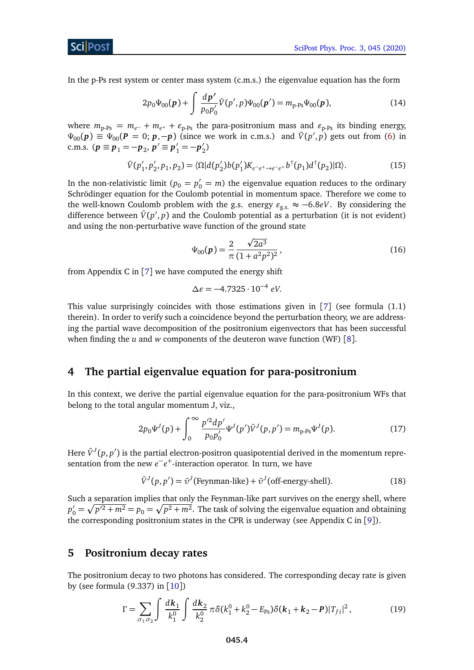[SciPost Phys. Proc. 3, 045 \(2020\)](https://scipost.org/SciPostPhysProc.3.045)

ScilPos<sup>.</sup>

In the p-Ps rest system or center mass system (c.m.s.) the eigenvalue equation has the form

$$
2p_0\Psi_{00}(p) + \int \frac{dp'}{p_0 p'_0} \bar{V}(p', p)\Psi_{00}(p') = m_{p \text{-}Ps}\Psi_{00}(p), \tag{14}
$$

where  $m_{p-Ps} = m_{e^-} + m_{e^+} + \varepsilon_{p-Ps}$  the para-positronium mass and  $\varepsilon_{p-Ps}$  its binding energy,  $\Psi_{00}(p) \equiv \Psi_{00}(p = 0; p, -p)$  (since we work in c.m.s.) and  $\bar{V}(p', p)$  gets out from [\(6\)](#page-1-5) in c.m.s.  $(p \equiv p_1 = -p_2, p' \equiv p'_1 = -p'_2)$  $_{2}^{\prime})$ 

$$
\bar{V}(p'_1, p'_2, p_1, p_2) = \langle \Omega | d(p'_2) b(p'_1) K_{e^{-e^+} \to e^{-e^+}} b^{\dagger}(p_1) d^{\dagger}(p_2) | \Omega \rangle. \tag{15}
$$

In the non-relativistic limit ( $p_0 = p'_0 = m$ ) the eigenvalue equation reduces to the ordinary Schrödinger equation for the Coulomb potential in momentum space. Therefore we come to the well-known Coulomb problem with the g.s. energy  $\varepsilon_{g,s} \approx -6.8eV$ . By considering the difference between  $\bar{V}(p', p)$  and the Coulomb potential as a perturbation (it is not evident) and using the non-perturbative wave function of the ground state

$$
\Psi_{00}(p) = \frac{2}{\pi} \frac{\sqrt{2a^3}}{(1 + a^2 p^2)^2},\tag{16}
$$

from Appendix C in  $[7]$  $[7]$  $[7]$  we have computed the energy shift

$$
\Delta \varepsilon = -4.7325 \cdot 10^{-4} \text{ eV}.
$$

This value surprisingly coincides with those estimations given in  $[7]$  $[7]$  $[7]$  (see formula  $(1.1)$ ) therein). In order to verify such a coincidence beyond the perturbation theory, we are addressing the partial wave decomposition of the positronium eigenvectors that has been successful when finding the *u* and *w* components of the deuteron wave function (WF) [[8](#page-5-8)].

## <span id="page-3-0"></span>**4 The partial eigenvalue equation for para-positronium**

In this context, we derive the partial eigenvalue equation for the para-positronium WFs that belong to the total angular momentum J, viz.,

$$
2p_0\Psi^J(p) + \int_0^\infty \frac{p'^2 dp'}{p_0 p'_0} \Psi^J(p') \bar{V}^J(p, p') = m_{p \text{-} P \text{s}} \Psi^J(p). \tag{17}
$$

Here  $\bar{V}^J(p,p')$  is the partial electron-positron quasipotential derived in the momentum representation from the new  $e^-e^+$ -interaction operator. In turn, we have

$$
\bar{V}^{J}(p, p') = \bar{v}^{J}(\text{Feynman-like}) + \bar{v}^{J}(\text{off-energy-shell}).
$$
\n(18)

Such a separation implies that only the Feynman-like part survives on the energy shell, where  $p'_0 = \sqrt{p'^2 + m^2} = p_0 = \sqrt{p^2 + m^2}$ . The task of solving the eigenvalue equation and obtaining the corresponding positronium states in the CPR is underway (see Appendix C in [[9](#page-5-9)]).

#### <span id="page-3-1"></span>**5 Positronium decay rates**

The positronium decay to two photons has considered. The corresponding decay rate is given by (see formula (9.337) in [[10](#page-5-10)])

$$
\Gamma = \sum_{\sigma_1 \sigma_2} \int \frac{d\mathbf{k}_1}{k_1^0} \int \frac{d\mathbf{k}_2}{k_2^0} \pi \delta(k_1^0 + k_2^0 - E_{\text{Ps}}) \delta(\mathbf{k}_1 + \mathbf{k}_2 - \mathbf{P}) |T_{fi}|^2, \tag{19}
$$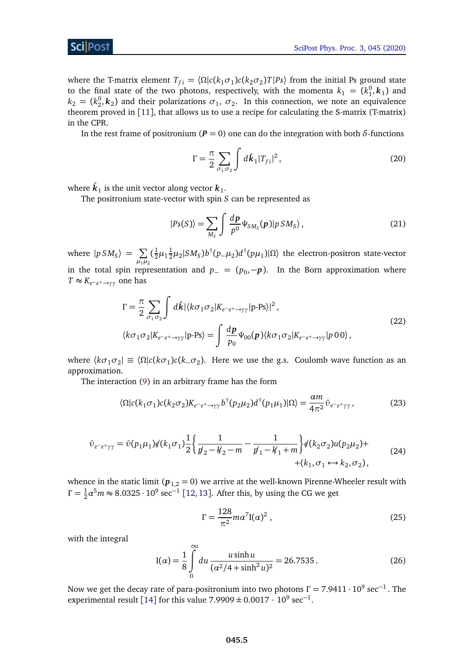where the T-matrix element  $T_{fi} = \langle \Omega | c(k_1 \sigma_1) c(k_2 \sigma_2) T | P_s \rangle$  from the initial Ps ground state to the final state of the two photons, respectively, with the momenta  $k_1 = (k_1^0, k_1)$  and  $k_2 = (k_2^0, k_2)$  and their polarizations  $\sigma_1$ ,  $\sigma_2$ . In this connection, we note an equivalence theorem proved in [[11](#page-6-0)], that allows us to use a recipe for calculating the S-matrix (T-matrix) in the CPR.

In the rest frame of positronium ( $P = 0$ ) one can do the integration with both *δ*-functions

$$
\Gamma = \frac{\pi}{2} \sum_{\sigma_1 \sigma_2} \int d\hat{k}_1 |T_{fi}|^2, \qquad (20)
$$

where  $\hat{\boldsymbol{k}}_1$  is the unit vector along vector  $\boldsymbol{k}_1.$ 

The positronium state-vector with spin *S* can be represented as

$$
|Ps(S)\rangle = \sum_{M_S} \int \frac{dp}{p^0} \Psi_{SM_S}(p)|p\,SM_S\rangle\,,\tag{21}
$$

where  $|p SM_S\rangle = \sum$  $\mu_1 \mu_2$  $(\frac{1}{2})$  $\frac{1}{2}\mu_1\frac{1}{2}$  $\frac{1}{2}\mu_2|SM_S) b^\dagger (p_-\mu_2) d^\dagger (p\mu_1)|\Omega\rangle$  the electron-positron state-vector in the total spin representation and  $p_ - = (p_0, -p)$ . In the Born approximation where  $T \approx K_{e^-e^+ \to \gamma\gamma}$  one has

$$
\Gamma = \frac{\pi}{2} \sum_{\sigma_1 \sigma_2} \int d\hat{k} |\langle k \sigma_1 \sigma_2 | K_{e^-e^+ \to \gamma \gamma} | \mathbf{p} \cdot \mathbf{P} \mathbf{s} \rangle|^2,
$$
  

$$
\langle k \sigma_1 \sigma_2 | K_{e^-e^+ \to \gamma \gamma} | \mathbf{p} \cdot \mathbf{P} \mathbf{s} \rangle = \int \frac{dp}{p_0} \Psi_{00}(p) \langle k \sigma_1 \sigma_2 | K_{e^-e^+ \to \gamma \gamma} | p \ 0 \ 0 \rangle,
$$
 (22)

where  $\langle k\sigma_1\sigma_2|\equiv \langle \Omega|c(k\sigma_1)c(k\sigma_2)$ . Here we use the g.s. Coulomb wave function as an approximation.

The interaction [\(9\)](#page-2-1) in an arbitrary frame has the form

$$
\langle \Omega | c(k_1 \sigma_1) c(k_2 \sigma_2) K_{e^-e^+ \to \gamma \gamma} b^\dagger (p_2 \mu_2) d^\dagger (p_1 \mu_1) | \Omega \rangle = \frac{\alpha m}{4\pi^2} \bar{\upsilon}_{e^-e^+ \gamma \gamma}, \tag{23}
$$

$$
\bar{v}_{e^-e^+\gamma\gamma} = \bar{v}(p_1\mu_1)\phi(k_1\sigma_1)\frac{1}{2}\left\{\frac{1}{\not p_2 - \not k_2 - m} - \frac{1}{\not p_1 - \not k_1 + m}\right\}\phi(k_2\sigma_2)u(p_2\mu_2) +
$$
\n
$$
+ (k_1, \sigma_1 \leftrightarrow k_2, \sigma_2),
$$
\n(24)

whence in the static limit ( $p_{1,2} = 0$ ) we arrive at the well-known Pirenne-Wheeler result with  $\Gamma = \frac{1}{2}$  $\frac{1}{2}\alpha^5 m \approx 8.0325 \cdot 10^9 \text{ sec}^{-1}$  [[12,](#page-6-1)[13](#page-6-2)]. After this, by using the CG we get

$$
\Gamma = \frac{128}{\pi^2} m \alpha^7 \mathbf{I}(\alpha)^2 \,, \tag{25}
$$

with the integral

$$
I(\alpha) = \frac{1}{8} \int_{0}^{\infty} du \frac{u \sinh u}{(\alpha^2/4 + \sinh^2 u)^2} = 26.7535.
$$
 (26)

Now we get the decay rate of para-positronium into two photons  $\Gamma$  = 7.9411  $\cdot$  10 $^9$  sec $^{-1}$  . The experimental result [[14](#page-6-3)] for this value  $7.9909 \pm 0.0017 \cdot 10^9 \text{ sec}^{-1}$ .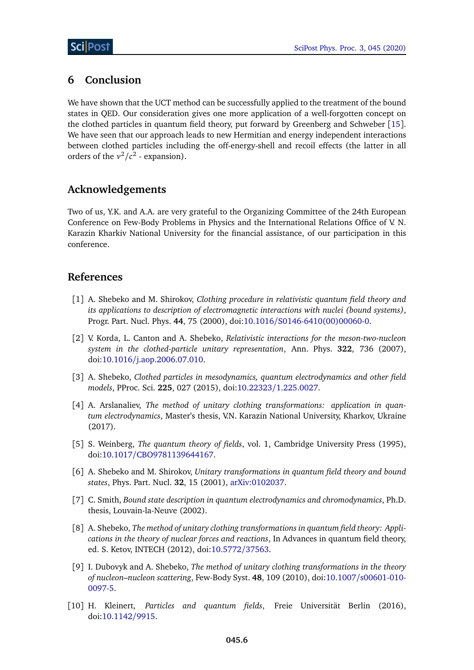# <span id="page-5-4"></span>**6 Conclusion**

We have shown that the UCT method can be successfully applied to the treatment of the bound states in QED. Our consideration gives one more application of a well-forgotten concept on the clothed particles in quantum field theory, put forward by Greenberg and Schweber [[15](#page-6-4)]. We have seen that our approach leads to new Hermitian and energy independent interactions between clothed particles including the off-energy-shell and recoil effects (the latter in all orders of the  $v^2/c^2$  - expansion).

## **Acknowledgements**

Two of us, Y.K. and A.A. are very grateful to the Organizing Committee of the 24th European Conference on Few-Body Problems in Physics and the International Relations Office of V. N. Karazin Kharkiv National University for the financial assistance, of our participation in this conference.

## **References**

- <span id="page-5-0"></span>[1] A. Shebeko and M. Shirokov, *Clothing procedure in relativistic quantum field theory and its applications to description of electromagnetic interactions with nuclei (bound systems)*, Progr. Part. Nucl. Phys. **44**, 75 (2000), doi:10.1016/[S0146-6410\(00\)00060-0.](http://dx.doi.org/10.1016/S0146-6410(00)00060-0)
- <span id="page-5-1"></span>[2] V. Korda, L. Canton and A. Shebeko, *Relativistic interactions for the meson-two-nucleon system in the clothed-particle unitary representation*, Ann. Phys. **322**, 736 (2007), doi:10.1016/[j.aop.2006.07.010.](http://dx.doi.org/10.1016/j.aop.2006.07.010)
- <span id="page-5-2"></span>[3] A. Shebeko, *Clothed particles in mesodynamics, quantum electrodynamics and other field models*, PProc. Sci. **225**, 027 (2015), doi:10.22323/[1.225.0027.](http://dx.doi.org/10.22323/1.225.0027)
- <span id="page-5-3"></span>[4] A. Arslanaliev, *The method of unitary clothing transformations: application in quantum electrodynamics*, Master's thesis, V.N. Karazin National University, Kharkov, Ukraine (2017).
- <span id="page-5-5"></span>[5] S. Weinberg, *The quantum theory of fields*, vol. 1, Cambridge University Press (1995), doi:10.1017/[CBO9781139644167.](http://dx.doi.org/10.1017/CBO9781139644167)
- <span id="page-5-6"></span>[6] A. Shebeko and M. Shirokov, *Unitary transformations in quantum field theory and bound states*, Phys. Part. Nucl. **32**, 15 (2001), [arXiv:0102037.](https://arxiv.org/abs/nucl-th/0102037)
- <span id="page-5-7"></span>[7] C. Smith, *Bound state description in quantum electrodynamics and chromodynamics*, Ph.D. thesis, Louvain-la-Neuve (2002).
- <span id="page-5-8"></span>[8] A. Shebeko, *The method of unitary clothing transformations in quantum field theory: Applications in the theory of nuclear forces and reactions*, In Advances in quantum field theory, ed. S. Ketov, INTECH (2012), doi[:10.5772](http://dx.doi.org/10.5772/37563)/37563.
- <span id="page-5-9"></span>[9] I. Dubovyk and A. Shebeko, *The method of unitary clothing transformations in the theory of nucleon–nucleon scattering*, Few-Body Syst. **48**, 109 (2010), doi:10.1007/[s00601-010-](http://dx.doi.org/10.1007/s00601-010-0097-5) [0097-5.](http://dx.doi.org/10.1007/s00601-010-0097-5)
- <span id="page-5-10"></span>[10] H. Kleinert, *Particles and quantum fields*, Freie Universität Berlin (2016), doi[:10.1142](http://dx.doi.org/10.1142/9915)/9915.